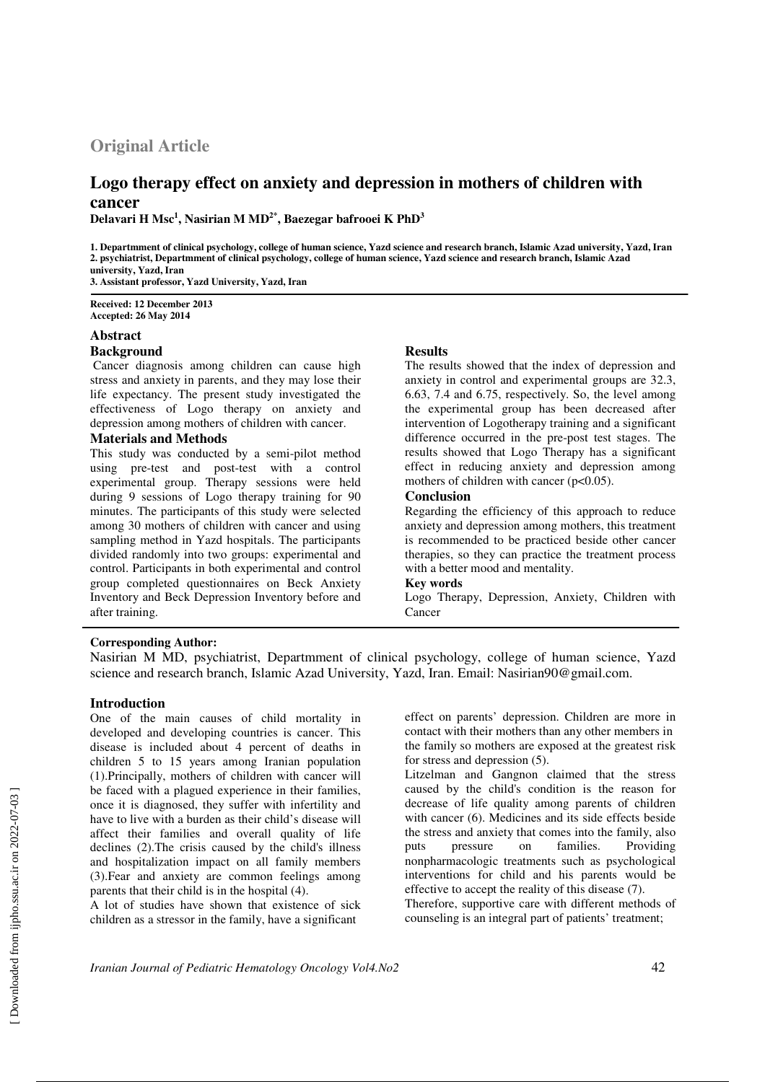# **Original Article**

# **Logo therapy effect on anxiety and depression in mothers of children with cancer**

**Delavari H Msc<sup>1</sup> , Nasirian M MD2\*, Baezegar bafrooei K PhD<sup>3</sup>**

**1. Departmment of clinical psychology, college of human science, Yazd science and research branch, Islamic Azad university, Yazd, Iran 2. psychiatrist, Departmment of clinical psychology, college of human science, Yazd science and research branch, Islamic Azad university, Yazd, Iran 3. Assistant professor, Yazd University, Yazd, Iran**

**Received: 12 December 2013 Accepted: 26 May 2014**

### **Abstract**

# **Background**

 Cancer diagnosis among children can cause high stress and anxiety in parents, and they may lose their life expectancy. The present study investigated the effectiveness of Logo therapy on anxiety and depression among mothers of children with cancer.

## **Materials and Methods**

This study was conducted by a semi-pilot method using pre-test and post-test with a control experimental group. Therapy sessions were held during 9 sessions of Logo therapy training for 90 minutes. The participants of this study were selected among 30 mothers of children with cancer and using sampling method in Yazd hospitals. The participants divided randomly into two groups: experimental and control. Participants in both experimental and control group completed questionnaires on Beck Anxiety Inventory and Beck Depression Inventory before and after training.

## **Results**

The results showed that the index of depression and anxiety in control and experimental groups are 32.3, 6.63, 7.4 and 6.75, respectively. So, the level among the experimental group has been decreased after intervention of Logotherapy training and a significant difference occurred in the pre-post test stages. The results showed that Logo Therapy has a significant effect in reducing anxiety and depression among mothers of children with cancer (p<0.05).

### **Conclusion**

Regarding the efficiency of this approach to reduce anxiety and depression among mothers, this treatment is recommended to be practiced beside other cancer therapies, so they can practice the treatment process with a better mood and mentality.

### **Key words**

Logo Therapy, Depression, Anxiety, Children with Cancer

### **Corresponding Author:**

Nasirian M MD, psychiatrist, Departmment of clinical psychology, college of human science, Yazd science and research branch, Islamic Azad University, Yazd, Iran. Email: Nasirian90@gmail.com.

### **Introduction**

One of the main causes of child mortality in developed and developing countries is cancer. This disease is included about 4 percent of deaths in children 5 to 15 years among Iranian population (1).Principally, mothers of children with cancer will be faced with a plagued experience in their families, once it is diagnosed, they suffer with infertility and have to live with a burden as their child's disease will affect their families and overall quality of life declines (2).The crisis caused by the child's illness and hospitalization impact on all family members (3).Fear and anxiety are common feelings among parents that their child is in the hospital (4).

A lot of studies have shown that existence of sick children as a stressor in the family, have a significant

effect on parents' depression. Children are more in contact with their mothers than any other members in the family so mothers are exposed at the greatest risk for stress and depression (5).

Litzelman and Gangnon claimed that the stress caused by the child's condition is the reason for decrease of life quality among parents of children with cancer (6). Medicines and its side effects beside the stress and anxiety that comes into the family, also puts pressure on families. Providing nonpharmacologic treatments such as psychological interventions for child and his parents would be effective to accept the reality of this disease (7). Therefore, supportive care with different methods of counseling is an integral part of patients' treatment;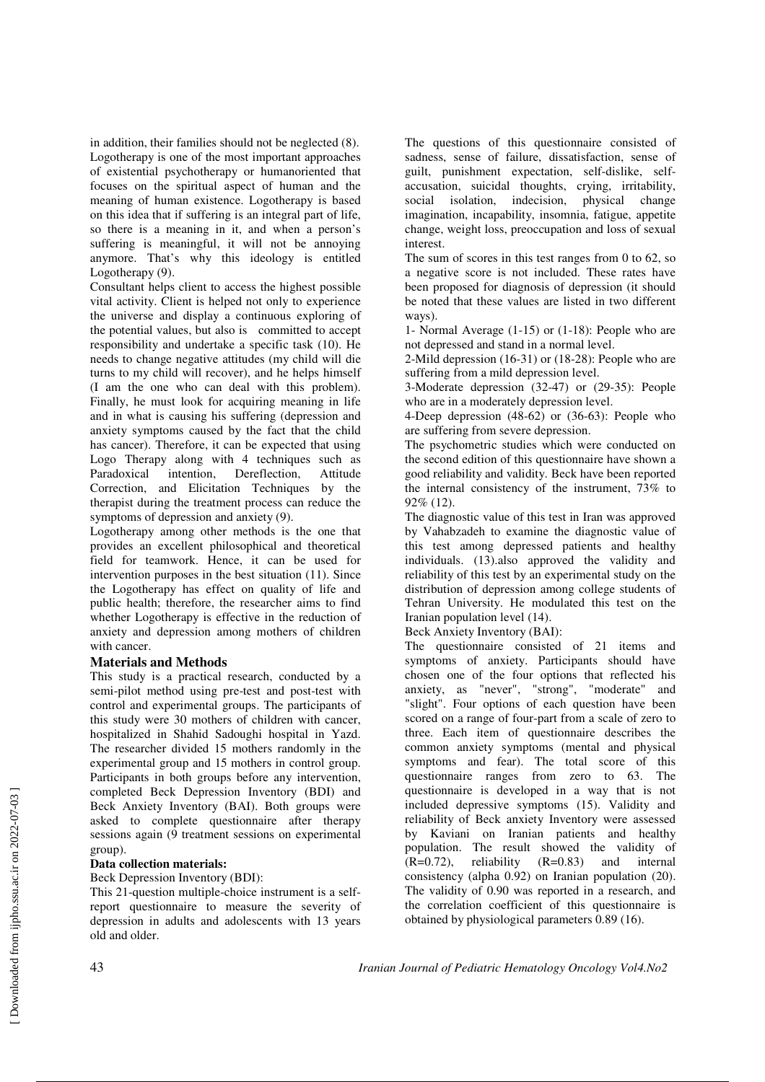in addition, their families should not be neglected (8). Logotherapy is one of the most important approaches of existential psychotherapy or humanoriented that focuses on the spiritual aspect of human and the meaning of human existence. Logotherapy is based on this idea that if suffering is an integral part of life, so there is a meaning in it, and when a person's suffering is meaningful, it will not be annoying anymore. That's why this ideology is entitled Logotherapy (9).

Consultant helps client to access the highest possible vital activity. Client is helped not only to experience the universe and display a continuous exploring of the potential values, but also is committed to accept responsibility and undertake a specific task (10). He needs to change negative attitudes (my child will die turns to my child will recover), and he helps himself (I am the one who can deal with this problem). Finally, he must look for acquiring meaning in life and in what is causing his suffering (depression and anxiety symptoms caused by the fact that the child has cancer). Therefore, it can be expected that using Logo Therapy along with 4 techniques such as<br>Paradoxical intention, Dereflection, Attitude Paradoxical intention, Dereflection, Attitude Correction, and Elicitation Techniques by the therapist during the treatment process can reduce the symptoms of depression and anxiety (9).

Logotherapy among other methods is the one that provides an excellent philosophical and theoretical field for teamwork. Hence, it can be used for intervention purposes in the best situation (11). Since the Logotherapy has effect on quality of life and public health; therefore, the researcher aims to find whether Logotherapy is effective in the reduction of anxiety and depression among mothers of children with cancer.

## **Materials and Methods**

This study is a practical research, conducted by a semi-pilot method using pre-test and post-test with control and experimental groups. The participants of this study were 30 mothers of children with cancer, hospitalized in Shahid Sadoughi hospital in Yazd. The researcher divided 15 mothers randomly in the experimental group and 15 mothers in control group. Participants in both groups before any intervention, completed Beck Depression Inventory (BDI) and Beck Anxiety Inventory (BAI). Both groups were asked to complete questionnaire after therapy sessions again (9 treatment sessions on experimental group).

# **Data collection materials:**

# Beck Depression Inventory (BDI):

This 21-question multiple-choice instrument is a selfreport questionnaire to measure the severity of depression in adults and adolescents with 13 years old and older.

The questions of this questionnaire consisted of sadness, sense of failure, dissatisfaction, sense of guilt, punishment expectation, self-dislike, selfaccusation, suicidal thoughts, crying, irritability, social isolation, indecision, physical change imagination, incapability, insomnia, fatigue, appetite change, weight loss, preoccupation and loss of sexual interest.

The sum of scores in this test ranges from 0 to 62, so a negative score is not included. These rates have been proposed for diagnosis of depression (it should be noted that these values are listed in two different ways).

1- Normal Average (1-15) or (1-18): People who are not depressed and stand in a normal level.

2-Mild depression (16-31) or (18-28): People who are suffering from a mild depression level.

3-Moderate depression (32-47) or (29-35): People who are in a moderately depression level.

4-Deep depression (48-62) or (36-63): People who are suffering from severe depression.

The psychometric studies which were conducted on the second edition of this questionnaire have shown a good reliability and validity. Beck have been reported the internal consistency of the instrument, 73% to 92% (12).

The diagnostic value of this test in Iran was approved by Vahabzadeh to examine the diagnostic value of this test among depressed patients and healthy individuals. (13).also approved the validity and reliability of this test by an experimental study on the distribution of depression among college students of Tehran University. He modulated this test on the Iranian population level (14).

Beck Anxiety Inventory (BAI):

The questionnaire consisted of 21 items and symptoms of anxiety. Participants should have chosen one of the four options that reflected his anxiety, as "never", "strong", "moderate" and "slight". Four options of each question have been scored on a range of four-part from a scale of zero to three. Each item of questionnaire describes the common anxiety symptoms (mental and physical symptoms and fear). The total score of this questionnaire ranges from zero to 63. The questionnaire is developed in a way that is not included depressive symptoms (15). Validity and reliability of Beck anxiety Inventory were assessed by Kaviani on Iranian patients and healthy population. The result showed the validity of  $(R=0.72)$ , reliability  $(R=0.83)$  and internal consistency (alpha 0.92) on Iranian population (20). The validity of 0.90 was reported in a research, and the correlation coefficient of this questionnaire is obtained by physiological parameters 0.89 (16).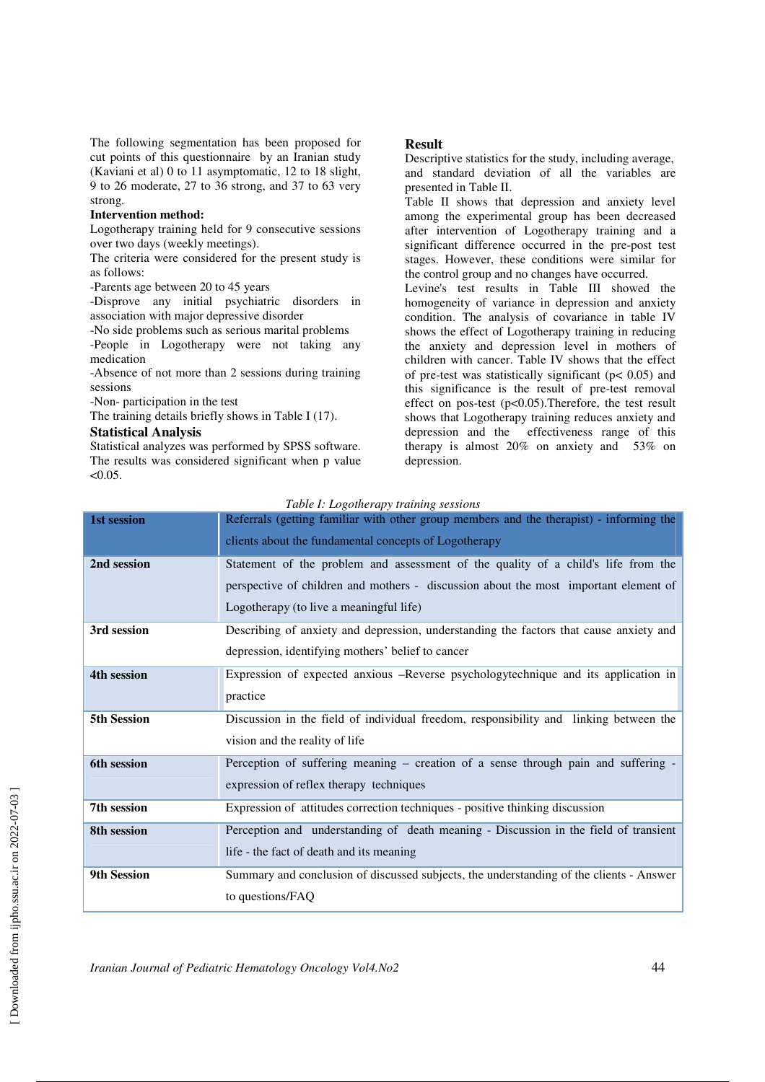The following segmentation has been proposed for cut points of this questionnaire by an Iranian study (Kaviani et al) 0 to 11 asymptomatic, 12 to 18 slight, 9 to 26 moderate, 27 to 36 strong, and 37 to 63 very strong.

#### **Intervention method:**

Logotherapy training held for 9 consecutive sessions over two days (weekly meetings).

The criteria were considered for the present study is as follows:

-Parents age between 20 to 45 years

-Disprove any initial psychiatric disorders in association with major depressive disorder

-No side problems such as serious marital problems

-People in Logotherapy were not taking any medication

-Absence of not more than 2 sessions during training sessions

-Non- participation in the test

The training details briefly shows in Table I (17).

### **Statistical Analysis**

Statistical analyzes was performed by SPSS software. The results was considered significant when p value  $< 0.05$ .

#### **Result**

Descriptive statistics for the study, including average, and standard deviation of all the variables are presented in Table II.

Table II shows that depression and anxiety level among the experimental group has been decreased after intervention of Logotherapy training and a significant difference occurred in the pre-post test stages. However, these conditions were similar for the control group and no changes have occurred.

Levine's test results in Table III showed the homogeneity of variance in depression and anxiety condition. The analysis of covariance in table IV shows the effect of Logotherapy training in reducing the anxiety and depression level in mothers of children with cancer. Table IV shows that the effect of pre-test was statistically significant ( $p < 0.05$ ) and this significance is the result of pre-test removal effect on pos-test (p<0.05).Therefore, the test result shows that Logotherapy training reduces anxiety and depression and the effectiveness range of this therapy is almost 20% on anxiety and 53% on depression.

| Table I: Logotherapy training sessions |  |
|----------------------------------------|--|
|                                        |  |

| 1st session | Referrals (getting familiar with other group members and the therapist) - informing the |
|-------------|-----------------------------------------------------------------------------------------|
|             | clients about the fundamental concepts of Logotherapy                                   |
| 2nd session | Statement of the problem and assessment of the quality of a child's life from the       |
|             | perspective of children and mothers - discussion about the most important element of    |
|             | Logotherapy (to live a meaningful life)                                                 |
| 3rd session | Describing of anxiety and depression, understanding the factors that cause anxiety and  |
|             | depression, identifying mothers' belief to cancer                                       |
| 4th session | Expression of expected anxious -Reverse psychologytechnique and its application in      |
|             | practice                                                                                |
| 5th Session | Discussion in the field of individual freedom, responsibility and linking between the   |
|             | vision and the reality of life                                                          |
| 6th session | Perception of suffering meaning – creation of a sense through pain and suffering -      |
|             | expression of reflex therapy techniques                                                 |
| 7th session | Expression of attitudes correction techniques - positive thinking discussion            |
| 8th session | Perception and understanding of death meaning - Discussion in the field of transient    |
|             | life - the fact of death and its meaning                                                |
| 9th Session | Summary and conclusion of discussed subjects, the understanding of the clients - Answer |
|             | to questions/FAQ                                                                        |

*Iranian Journal of Pediatric Hematology Oncology Vol4.No2* 44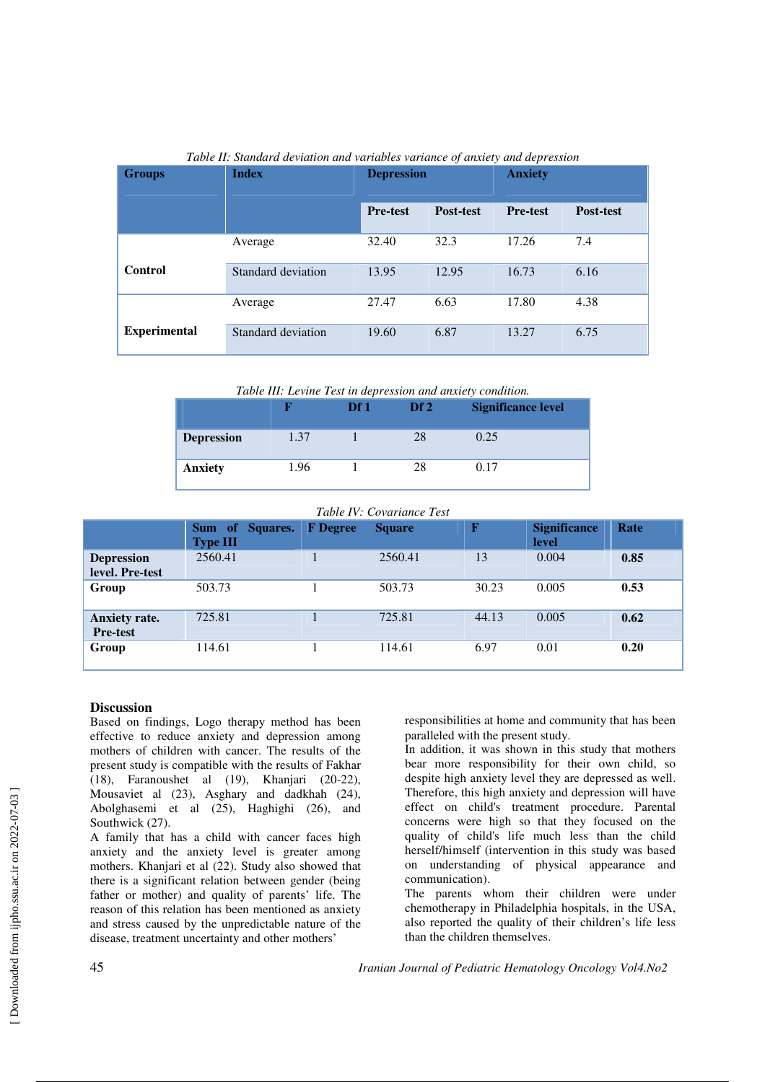| <b>Groups</b>       | <b>Index</b>       | <b>Depression</b> |                  | <b>Anxiety</b>  |                  |
|---------------------|--------------------|-------------------|------------------|-----------------|------------------|
|                     |                    | <b>Pre-test</b>   | <b>Post-test</b> | <b>Pre-test</b> | <b>Post-test</b> |
|                     | Average            | 32.40             | 32.3             | 17.26           | 7.4              |
| Control             | Standard deviation | 13.95             | 12.95            | 16.73           | 6.16             |
|                     | Average            | 27.47             | 6.63             | 17.80           | 4.38             |
| <b>Experimental</b> | Standard deviation | 19.60             | 6.87             | 13.27           | 6.75             |

*Table II: Standard deviation and variables variance of anxiety and depression* 

*Table III: Levine Test in depression and anxiety condition.* 

|                   |      | Df1 | Df2 | <b>Significance level</b> |
|-------------------|------|-----|-----|---------------------------|
| <b>Depression</b> | 1.37 |     | 28  | 0.25                      |
| <b>Anxiety</b>    | 1.96 |     | 28  | 0.17                      |

# *Table IV: Covariance Test*

|                                         | Sum of Squares.<br><b>Type III</b> | <b>F</b> Degree | <b>Square</b> | $\mathbf F$ | <b>Significance</b><br>level | Rate |
|-----------------------------------------|------------------------------------|-----------------|---------------|-------------|------------------------------|------|
| <b>Depression</b><br>level. Pre-test    | 2560.41                            |                 | 2560.41       | 13          | 0.004                        | 0.85 |
| Group                                   | 503.73                             |                 | 503.73        | 30.23       | 0.005                        | 0.53 |
| <b>Anxiety rate.</b><br><b>Pre-test</b> | 725.81                             |                 | 725.81        | 44.13       | 0.005                        | 0.62 |
| Group                                   | 114.61                             |                 | 114.61        | 6.97        | 0.01                         | 0.20 |

### **Discussion**

Based on findings, Logo therapy method has been effective to reduce anxiety and depression among mothers of children with cancer. The results of the present study is compatible with the results of Fakhar (18), Faranoushet al (19), Khanjari (20-22), Mousaviet al (23), Asghary and dadkhah (24), Abolghasemi et al (25), Haghighi (26), and Southwick (27).

A family that has a child with cancer faces high anxiety and the anxiety level is greater among mothers. Khanjari et al (22). Study also showed that there is a significant relation between gender (being father or mother) and quality of parents' life. The reason of this relation has been mentioned as anxiety and stress caused by the unpredictable nature of the disease, treatment uncertainty and other mothers'

responsibilities at home and community that has been paralleled with the present study.

In addition, it was shown in this study that mothers bear more responsibility for their own child, so despite high anxiety level they are depressed as well. Therefore, this high anxiety and depression will have effect on child's treatment procedure. Parental concerns were high so that they focused on the quality of child's life much less than the child herself/himself (intervention in this study was based on understanding of physical appearance and communication).

The parents whom their children were under chemotherapy in Philadelphia hospitals, in the USA, also reported the quality of their children's life less than the children themselves.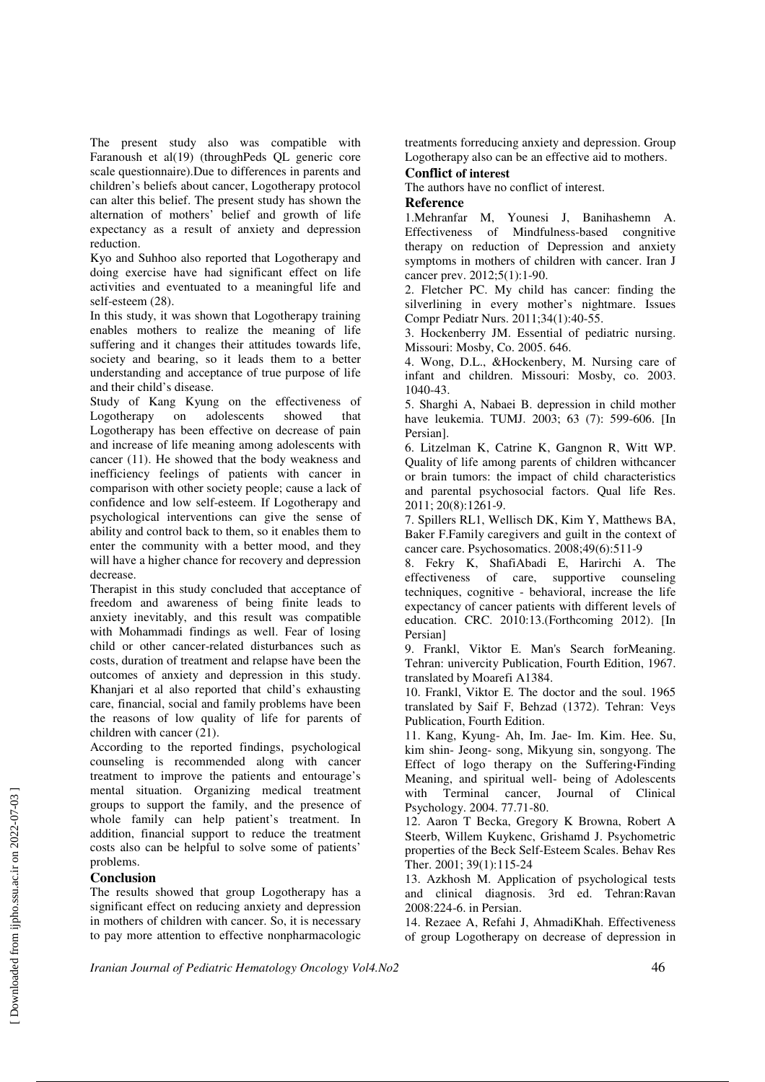The present study also was compatible with Faranoush et al(19) (throughPeds QL generic core scale questionnaire).Due to differences in parents and children's beliefs about cancer, Logotherapy protocol can alter this belief. The present study has shown the alternation of mothers' belief and growth of life expectancy as a result of anxiety and depression reduction.

Kyo and Suhhoo also reported that Logotherapy and doing exercise have had significant effect on life activities and eventuated to a meaningful life and self-esteem (28).

In this study, it was shown that Logotherapy training enables mothers to realize the meaning of life suffering and it changes their attitudes towards life, society and bearing, so it leads them to a better understanding and acceptance of true purpose of life and their child's disease.

Study of Kang Kyung on the effectiveness of<br>Logotherapy on adolescents showed that Logotherapy on adolescents showed that Logotherapy has been effective on decrease of pain and increase of life meaning among adolescents with cancer (11). He showed that the body weakness and inefficiency feelings of patients with cancer in comparison with other society people; cause a lack of confidence and low self-esteem. If Logotherapy and psychological interventions can give the sense of ability and control back to them, so it enables them to enter the community with a better mood, and they will have a higher chance for recovery and depression decrease.

Therapist in this study concluded that acceptance of freedom and awareness of being finite leads to anxiety inevitably, and this result was compatible with Mohammadi findings as well. Fear of losing child or other cancer-related disturbances such as costs, duration of treatment and relapse have been the outcomes of anxiety and depression in this study. Khanjari et al also reported that child's exhausting care, financial, social and family problems have been the reasons of low quality of life for parents of children with cancer (21).

According to the reported findings, psychological counseling is recommended along with cancer treatment to improve the patients and entourage's mental situation. Organizing medical treatment groups to support the family, and the presence of whole family can help patient's treatment. In addition, financial support to reduce the treatment costs also can be helpful to solve some of patients' problems.

### **Conclusion**

The results showed that group Logotherapy has a significant effect on reducing anxiety and depression in mothers of children with cancer. So, it is necessary to pay more attention to effective nonpharmacologic

treatments forreducing anxiety and depression. Group Logotherapy also can be an effective aid to mothers.

# **Conflict of interest**

The authors have no conflict of interest.

#### **Reference**

1.Mehranfar M, Younesi J, Banihashemn A. Effectiveness of Mindfulness-based congnitive therapy on reduction of Depression and anxiety symptoms in mothers of children with cancer. Iran J cancer prev. 2012;5(1):1-90.

2. Fletcher PC. My child has cancer: finding the silverlining in every mother's nightmare. Issues Compr Pediatr Nurs. 2011;34(1):40-55.

3. Hockenberry JM. Essential of pediatric nursing. Missouri: Mosby, Co. 2005. 646.

4. Wong, D.L., &Hockenbery, M. Nursing care of infant and children. Missouri: Mosby, co. 2003. 1040-43.

5. Sharghi A, Nabaei B. depression in child mother have leukemia. TUMJ. 2003; 63 (7): 599-606. [In Persian].

6. Litzelman K, Catrine K, Gangnon R, Witt WP. Quality of life among parents of children withcancer or brain tumors: the impact of child characteristics and parental psychosocial factors. Qual life Res. 2011; 20(8):1261-9.

7. Spillers RL1, Wellisch DK, Kim Y, Matthews BA, Baker F.Family caregivers and guilt in the context of cancer care. Psychosomatics. 2008;49(6):511-9

8. Fekry K, ShafiAbadi E, Harirchi A. The effectiveness of care, supportive counseling techniques, cognitive - behavioral, increase the life expectancy of cancer patients with different levels of education. CRC. 2010:13.(Forthcoming 2012). [In Persian]

9. Frankl, Viktor E. Man's Search forMeaning. Tehran: univercity Publication, Fourth Edition, 1967. translated by Moarefi A1384.

10. Frankl, Viktor E. The doctor and the soul. 1965 translated by Saif F, Behzad (1372). Tehran: Veys Publication, Fourth Edition.

11. Kang, Kyung- Ah, Im. Jae- Im. Kim. Hee. Su, kim shin- Jeong- song, Mikyung sin, songyong. The Effect of logo therapy on the Suffering،Finding Meaning, and spiritual well- being of Adolescents with Terminal cancer, Journal of Clinical Psychology. 2004. 77.71-80.

12. Aaron T Becka, Gregory K Browna, Robert A Steerb, Willem Kuykenc, Grishamd J. Psychometric properties of the Beck Self-Esteem Scales. Behav Res Ther. 2001; 39(1):115-24

13. Azkhosh M. Application of psychological tests and clinical diagnosis. 3rd ed. Tehran:Ravan 2008:224-6. in Persian.

14. Rezaee A, Refahi J, AhmadiKhah. Effectiveness of group Logotherapy on decrease of depression in

*Iranian Journal of Pediatric Hematology Oncology Vol4.No2* 46